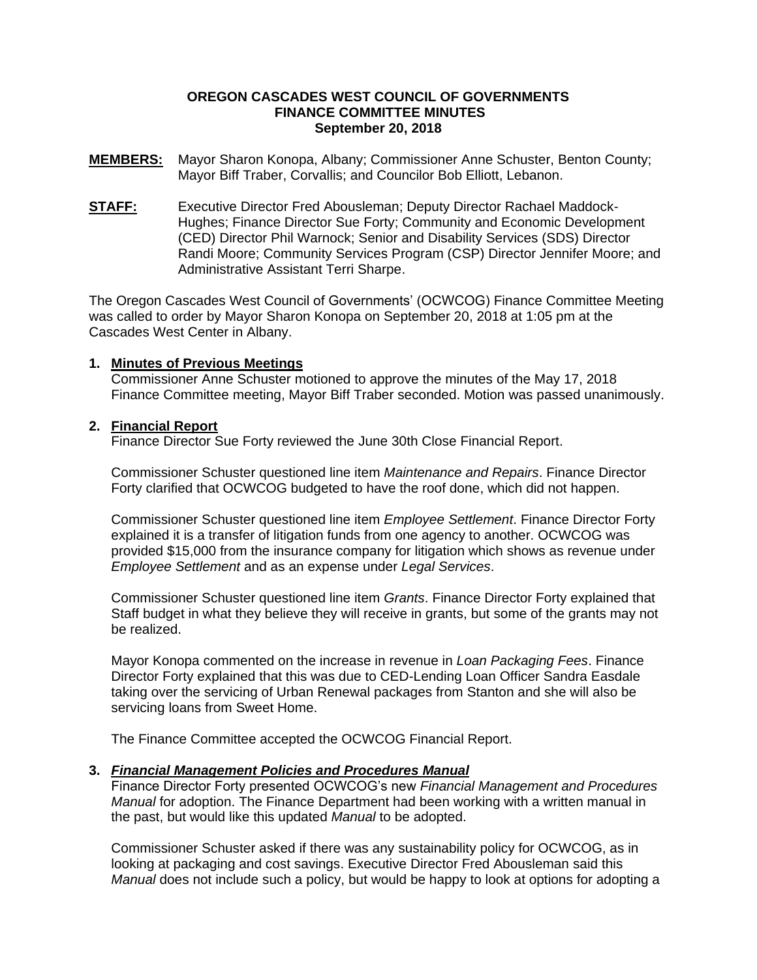## **OREGON CASCADES WEST COUNCIL OF GOVERNMENTS FINANCE COMMITTEE MINUTES September 20, 2018**

- **MEMBERS:** Mayor Sharon Konopa, Albany; Commissioner Anne Schuster, Benton County; Mayor Biff Traber, Corvallis; and Councilor Bob Elliott, Lebanon.
- **STAFF:** Executive Director Fred Abousleman; Deputy Director Rachael Maddock-Hughes; Finance Director Sue Forty; Community and Economic Development (CED) Director Phil Warnock; Senior and Disability Services (SDS) Director Randi Moore; Community Services Program (CSP) Director Jennifer Moore; and Administrative Assistant Terri Sharpe.

The Oregon Cascades West Council of Governments' (OCWCOG) Finance Committee Meeting was called to order by Mayor Sharon Konopa on September 20, 2018 at 1:05 pm at the Cascades West Center in Albany.

## **1. Minutes of Previous Meetings**

Commissioner Anne Schuster motioned to approve the minutes of the May 17, 2018 Finance Committee meeting, Mayor Biff Traber seconded. Motion was passed unanimously.

# **2. Financial Report**

Finance Director Sue Forty reviewed the June 30th Close Financial Report.

Commissioner Schuster questioned line item *Maintenance and Repairs*. Finance Director Forty clarified that OCWCOG budgeted to have the roof done, which did not happen.

Commissioner Schuster questioned line item *Employee Settlement*. Finance Director Forty explained it is a transfer of litigation funds from one agency to another. OCWCOG was provided \$15,000 from the insurance company for litigation which shows as revenue under *Employee Settlement* and as an expense under *Legal Services*.

Commissioner Schuster questioned line item *Grants*. Finance Director Forty explained that Staff budget in what they believe they will receive in grants, but some of the grants may not be realized.

Mayor Konopa commented on the increase in revenue in *Loan Packaging Fees*. Finance Director Forty explained that this was due to CED-Lending Loan Officer Sandra Easdale taking over the servicing of Urban Renewal packages from Stanton and she will also be servicing loans from Sweet Home.

The Finance Committee accepted the OCWCOG Financial Report.

## **3.** *Financial Management Policies and Procedures Manual*

Finance Director Forty presented OCWCOG's new *Financial Management and Procedures Manual* for adoption. The Finance Department had been working with a written manual in the past, but would like this updated *Manual* to be adopted.

Commissioner Schuster asked if there was any sustainability policy for OCWCOG, as in looking at packaging and cost savings. Executive Director Fred Abousleman said this *Manual* does not include such a policy, but would be happy to look at options for adopting a